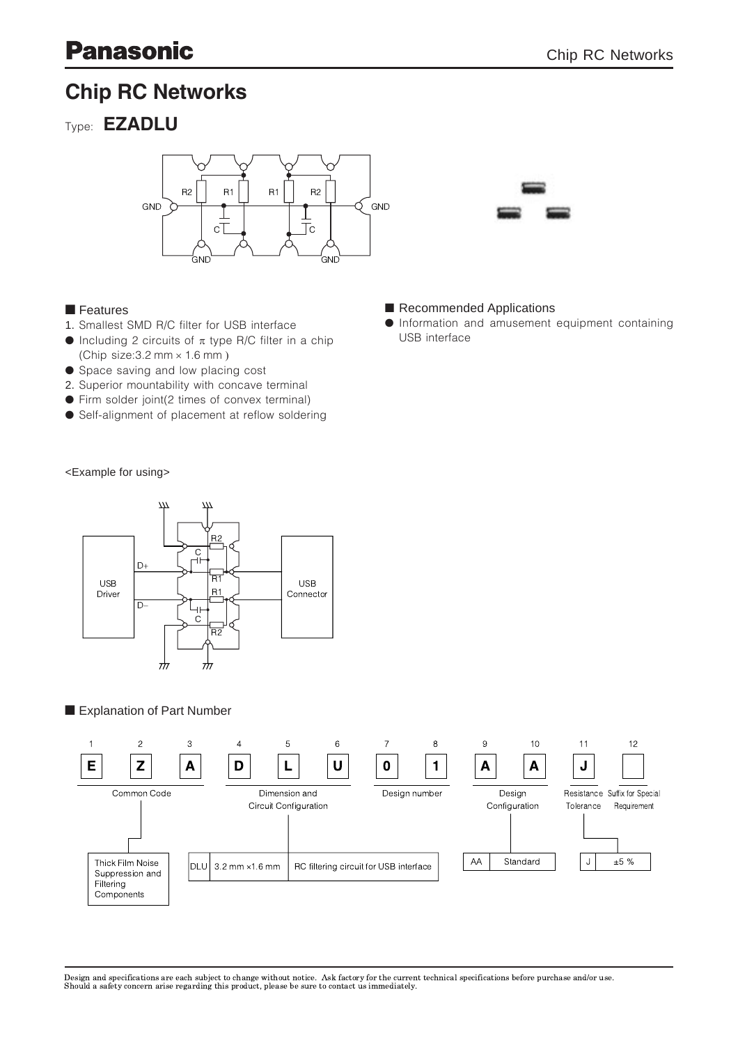# Chip RC Networks





### $\blacksquare$  Features

- 1. Smallest SMD R/C filter for USB interface
- $\bullet$  Including 2 circuits of  $\pi$  type R/C filter in a chip (Chip size:  $3.2$  mm  $\times$  1.6 mm)
- **Space saving and low placing cost**
- 2. Superior mountability with concave terminal
- Firm solder joint(2 times of convex terminal)
- Self-alignment of placement at reflow soldering

Recommended Applications

**•** Information and amusement equipment containing USB interface

<Example for using>



# Explanation of Part Number



Design and specifications are each subject to change without notice. Ask factory for the current technical specifications before purchase and/or use.<br>Should a safety concern arise regarding this product, please be sure to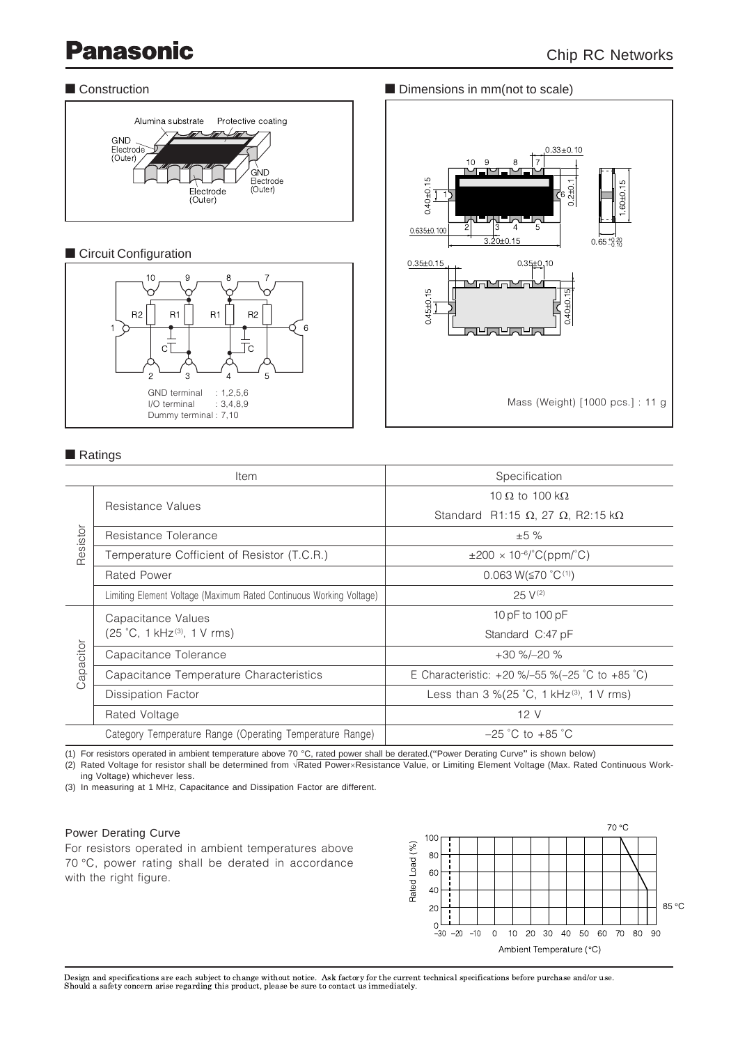

# **n** Circuit Configuration



# $\blacksquare$  Ratings

|                     | Item                                                                | Specification                                                                |  |  |  |
|---------------------|---------------------------------------------------------------------|------------------------------------------------------------------------------|--|--|--|
| Resistor            | Resistance Values                                                   | 10 $\Omega$ to 100 k $\Omega$                                                |  |  |  |
|                     |                                                                     | Standard R1:15 $\Omega$ , 27 $\Omega$ , R2:15 k $\Omega$                     |  |  |  |
|                     | Resistance Tolerance                                                | ±5%                                                                          |  |  |  |
|                     | Temperature Cofficient of Resistor (T.C.R.)                         | $\pm 200 \times 10^{-6}$ (2 (ppm/°C)                                         |  |  |  |
|                     | <b>Rated Power</b>                                                  | 0.063 W( $\leq$ 70 °C(1))                                                    |  |  |  |
|                     | Limiting Element Voltage (Maximum Rated Continuous Working Voltage) | $25 V^{(2)}$                                                                 |  |  |  |
| apacitor<br>$\circ$ | Capacitance Values                                                  | 10 pF to 100 pF                                                              |  |  |  |
|                     | (25 °C, 1 kHz <sup>(3)</sup> , 1 V rms)                             | Standard C:47 pF                                                             |  |  |  |
|                     | Capacitance Tolerance                                               | $+30 \% - 20 \%$                                                             |  |  |  |
|                     | Capacitance Temperature Characteristics                             | E Characteristic: +20 %/-55 %(-25 °C to +85 °C)                              |  |  |  |
|                     | <b>Dissipation Factor</b>                                           | Less than $3\% (25\degree C, 1\ \text{kHz}^{(3)}, 1\ \text{V} \ \text{rms})$ |  |  |  |
|                     | Rated Voltage                                                       | 12 V                                                                         |  |  |  |
|                     | Category Temperature Range (Operating Temperature Range)            | $-25$ °C to $+85$ °C                                                         |  |  |  |

(1) For resistors operated in ambient temperature above 70 °C, rated power shall be derated.("Power Derating Curve" is shown below)

(2) Rated Voltage for resistor shall be determined from  $\sqrt{\text{Rated Power} \times \text{Resistance Value}}$ , or Limiting Element Voltage (Max. Rated Continuous Working Voltage) whichever less.

(3) In measuring at 1 MHz, Capacitance and Dissipation Factor are different.

#### Power Derating Curve

For resistors operated in ambient temperatures above 70 °C, power rating shall be derated in accordance with the right figure.



Design and specifications are each subject to change without notice. Ask factory for the current technical specifications before purchase and/or use.<br>Should a safety concern arise regarding this product, please be sure to

### ■ Construction **n Construction** n Dimensions in mm(not to scale)

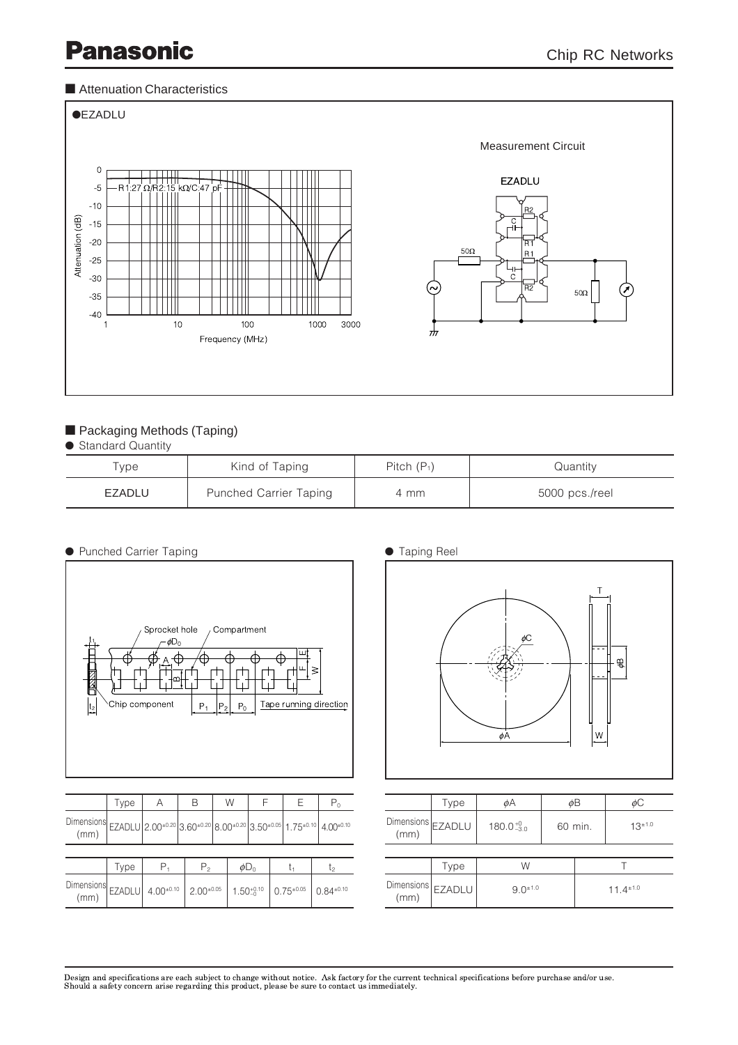### ■ Attenuation Characteristics



# **Packaging Methods (Taping)**

**Standard Quantity** 

| Type   | Kind of Taping                | Pitch $(P_1)$ | Quantity       |
|--------|-------------------------------|---------------|----------------|
| EZADLU | <b>Punched Carrier Taping</b> | 4 mm          | 5000 pcs./reel |

| <b>• Punched Carrier Taping</b> |
|---------------------------------|
|---------------------------------|



|                                                                                                                                                                                                                                                                                   | i y pe |    |         | v v                   |  |                     |                  |
|-----------------------------------------------------------------------------------------------------------------------------------------------------------------------------------------------------------------------------------------------------------------------------------|--------|----|---------|-----------------------|--|---------------------|------------------|
| Dimensions $\left  \frac{1}{2.00^{10.20}} \right  2.00^{10.20}   3.60^{10.20}   8.00^{10.20}   3.50^{10.05}   1.75^{10.10}   4.00^{10.10}   1.75^{10.10}   1.00^{10.10}   1.00^{10.10}   1.00^{10.10}   1.00^{10.10}   1.00^{10.10}   1.00^{10.10}   1.00^{10.10}   1.00$<br>(mm) |        |    |         |                       |  |                     |                  |
|                                                                                                                                                                                                                                                                                   |        |    |         |                       |  |                     |                  |
|                                                                                                                                                                                                                                                                                   | l ype  | Ρ. | $P_{2}$ | $\phi$ D <sub>0</sub> |  |                     | ls               |
| $\left.\n\begin{array}{c c}\n\text{Dimensions} & \text{EZADLU} & 4.00^{\pm0.10} & 2.00^{\pm0.05}\n\end{array}\n\right $<br>(mm)                                                                                                                                                   |        |    |         | $1.50_{-0}^{+0.10}$   |  | $  0.75^{\pm 0.05}$ | $0.84^{\pm0.10}$ |





|                           | Type | øΑ                             | øΒ |                  | øС          |  |
|---------------------------|------|--------------------------------|----|------------------|-------------|--|
| Dimensions<br>(mm) EZADLU |      | $180.0^{+0}_{-3.0}$<br>60 min. |    |                  | $13^{+1.0}$ |  |
|                           |      |                                |    |                  |             |  |
|                           | Type | W                              |    |                  |             |  |
| Dimensions<br>(mm) EZADLU |      | $9.0^{\pm 1.0}$                |    | $11.4^{\pm 1.0}$ |             |  |

Design and specifications are each subject to change without notice. Ask factory for the current technical specifications before purchase and/or use.<br>Should a safety concern arise regarding this product, please be sure to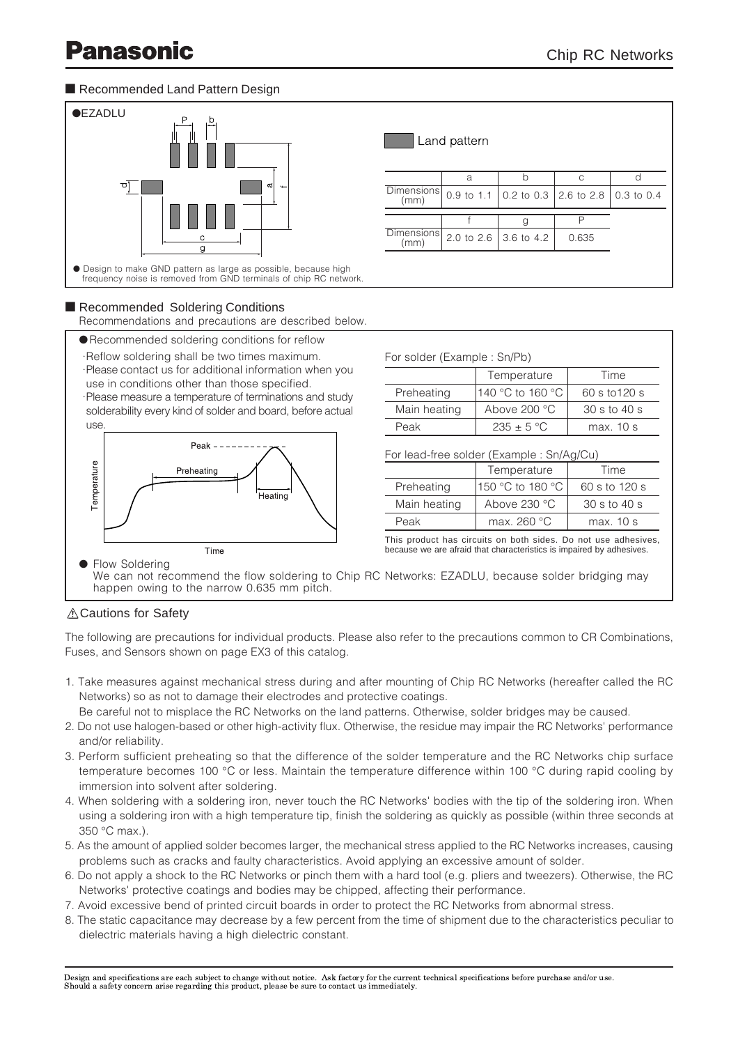## Recommended Land Pattern Design



## Recommended Soldering Conditions

Recommendations and precautions are described below.

- **Recommended soldering conditions for reflow**
- ·Reflow soldering shall be two times maximum.

·Please contact us for additional information when you use in conditions other than those specified.

·Please measure a temperature of terminations and study solderability every kind of solder and board, before actual use.



| For solder (Example : Sn/Pb)              |                  |               |  |  |  |
|-------------------------------------------|------------------|---------------|--|--|--|
|                                           | Temperature      | Time          |  |  |  |
| Preheating                                | 140 °C to 160 °C | 60 s to 120 s |  |  |  |
| Main heating                              | Above 200 °C     | 30 s to 40 s  |  |  |  |
| Peak                                      | $235 + 5 °C$     | max. 10 s     |  |  |  |
| For lead-free solder (Example : Sn/Ag/Cu) |                  |               |  |  |  |
|                                           | Temperature      | Time          |  |  |  |
| $\sim$                                    |                  |               |  |  |  |

| Preheating   | 150 °C to 180 °C | 60 s to 120 s |  |  |
|--------------|------------------|---------------|--|--|
| Main heating | Above 230 °C     | 30 s to 40 s  |  |  |
| Peak         | max. 260 °C      | max. 10 s     |  |  |

This product has circuits on both sides. Do not use adhesives, because we are afraid that characteristics is impaired by adhesives.

We can not recommend the flow soldering to Chip RC Networks: EZADLU, because solder bridging may happen owing to the narrow 0.635 mm pitch.

# Cautions for Safety

The following are precautions for individual products. Please also refer to the precautions common to CR Combinations, Fuses, and Sensors shown on page EX3 of this catalog.

- 1. Take measures against mechanical stress during and after mounting of Chip RC Networks (hereafter called the RC Networks) so as not to damage their electrodes and protective coatings.
	- Be careful not to misplace the RC Networks on the land patterns. Otherwise, solder bridges may be caused.
- 2. Do not use halogen-based or other high-activity flux. Otherwise, the residue may impair the RC Networks' performance and/or reliability.
- 3. Perform sufficient preheating so that the difference of the solder temperature and the RC Networks chip surface temperature becomes 100 °C or less. Maintain the temperature difference within 100 °C during rapid cooling by immersion into solvent after soldering.
- 4. When soldering with a soldering iron, never touch the RC Networks' bodies with the tip of the soldering iron. When using a soldering iron with a high temperature tip, finish the soldering as quickly as possible (within three seconds at 350 °C max.).
- 5. As the amount of applied solder becomes larger, the mechanical stress applied to the RC Networks increases, causing problems such as cracks and faulty characteristics. Avoid applying an excessive amount of solder.
- 6. Do not apply a shock to the RC Networks or pinch them with a hard tool (e.g. pliers and tweezers). Otherwise, the RC Networks' protective coatings and bodies may be chipped, affecting their performance.
- 7. Avoid excessive bend of printed circuit boards in order to protect the RC Networks from abnormal stress.
- 8. The static capacitance may decrease by a few percent from the time of shipment due to the characteristics peculiar to dielectric materials having a high dielectric constant.

Design and specifications are each subject to change without notice. Ask factory for the current technical specifications before purchase and/or use. Should a safety concern arise regarding this product, please be sure to contact us immediately.